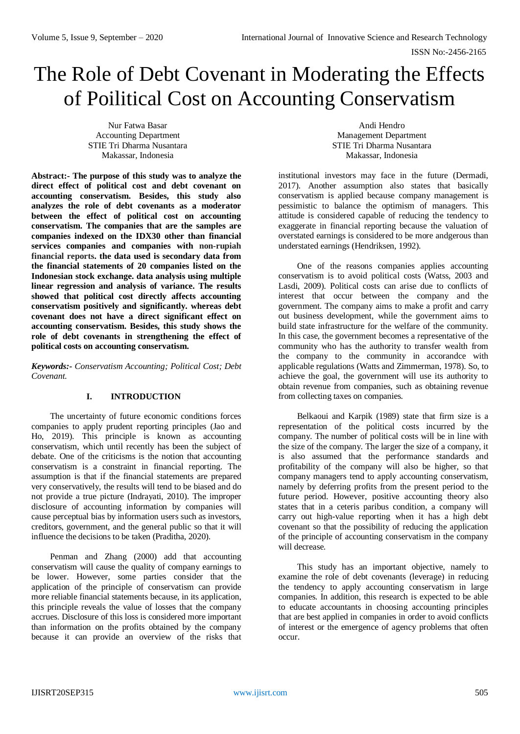# The Role of Debt Covenant in Moderating the Effects of Poilitical Cost on Accounting Conservatism

Nur Fatwa Basar Accounting Department STIE Tri Dharma Nusantara Makassar, Indonesia

**Abstract:- The purpose of this study was to analyze the direct effect of political cost and debt covenant on accounting conservatism. Besides, this study also analyzes the role of debt covenants as a moderator between the effect of political cost on accounting conservatism. The companies that are the samples are companies indexed on the IDX30 other than financial services companies and companies with non-rupiah financial reports. the data used is secondary data from the financial statements of 20 companies listed on the Indonesian stock exchange. data analysis using multiple linear regression and analysis of variance. The results showed that political cost directly affects accounting conservatism positively and significantly. whereas debt covenant does not have a direct significant effect on accounting conservatism. Besides, this study shows the role of debt covenants in strengthening the effect of political costs on accounting conservatism.**

*Keywords:- Conservatism Accounting; Political Cost; Debt Covenant.*

# **I. INTRODUCTION**

The uncertainty of future economic conditions forces companies to apply prudent reporting principles (Jao and Ho, 2019). This principle is known as accounting conservatism, which until recently has been the subject of debate. One of the criticisms is the notion that accounting conservatism is a constraint in financial reporting. The assumption is that if the financial statements are prepared very conservatively, the results will tend to be biased and do not provide a true picture (Indrayati, 2010). The improper disclosure of accounting information by companies will cause perceptual bias by information users such as investors, creditors, government, and the general public so that it will influence the decisions to be taken (Praditha, 2020).

Penman and Zhang (2000) add that accounting conservatism will cause the quality of company earnings to be lower. However, some parties consider that the application of the principle of conservatism can provide more reliable financial statements because, in its application, this principle reveals the value of losses that the company accrues. Disclosure of this loss is considered more important than information on the profits obtained by the company because it can provide an overview of the risks that

Andi Hendro Management Department STIE Tri Dharma Nusantara Makassar, Indonesia

institutional investors may face in the future (Dermadi, 2017). Another assumption also states that basically conservatism is applied because company management is pessimistic to balance the optimism of managers. This attitude is considered capable of reducing the tendency to exaggerate in financial reporting because the valuation of overstated earnings is considered to be more andgerous than understated earnings (Hendriksen, 1992).

One of the reasons companies applies accounting conservatism is to avoid political costs (Watss, 2003 and Lasdi, 2009). Political costs can arise due to conflicts of interest that occur between the company and the government. The company aims to make a profit and carry out business development, while the government aims to build state infrastructure for the welfare of the community. In this case, the government becomes a representative of the community who has the authority to transfer wealth from the company to the community in accorandce with applicable regulations (Watts and Zimmerman, 1978). So, to achieve the goal, the government will use its authority to obtain revenue from companies, such as obtaining revenue from collecting taxes on companies.

Belkaoui and Karpik (1989) state that firm size is a representation of the political costs incurred by the company. The number of political costs will be in line with the size of the company. The larger the size of a company, it is also assumed that the performance standards and profitability of the company will also be higher, so that company managers tend to apply accounting conservatism, namely by deferring profits from the present period to the future period. However, positive accounting theory also states that in a ceteris paribus condition, a company will carry out high-value reporting when it has a high debt covenant so that the possibility of reducing the application of the principle of accounting conservatism in the company will decrease.

This study has an important objective, namely to examine the role of debt covenants (leverage) in reducing the tendency to apply accounting conservatism in large companies. In addition, this research is expected to be able to educate accountants in choosing accounting principles that are best applied in companies in order to avoid conflicts of interest or the emergence of agency problems that often occur.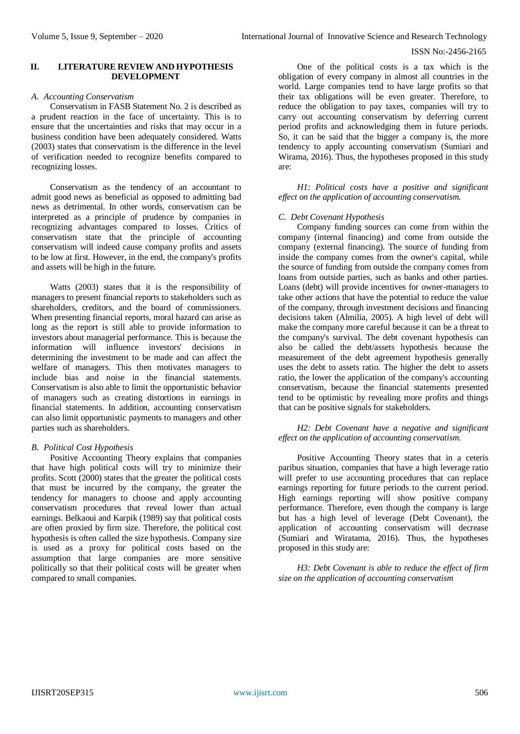# **II. LITERATURE REVIEW AND HYPOTHESIS DEVELOPMENT**

## *A. Accounting Conservatism*

Conservatism in FASB Statement No. 2 is described as a prudent reaction in the face of uncertainty. This is to ensure that the uncertainties and risks that may occur in a business condition have been adequately considered. Watts (2003) states that conservatism is the difference in the level of verification needed to recognize benefits compared to recognizing losses.

Conservatism as the tendency of an accountant to admit good news as beneficial as opposed to admitting bad news as detrimental. In other words, conservatism can be interpreted as a principle of prudence by companies in recognizing advantages compared to losses. Critics of conservatism state that the principle of accounting conservatism will indeed cause company profits and assets to be low at first. However, in the end, the company's profits and assets will be high in the future.

Watts (2003) states that it is the responsibility of managers to present financial reports to stakeholders such as shareholders, creditors, and the board of commissioners. When presenting financial reports, moral hazard can arise as long as the report is still able to provide information to investors about managerial performance. This is because the information will influence investors' decisions in determining the investment to be made and can affect the welfare of managers. This then motivates managers to include bias and noise in the financial statements. Conservatism is also able to limit the opportunistic behavior of managers such as creating distortions in earnings in financial statements. In addition, accounting conservatism can also limit opportunistic payments to managers and other parties such as shareholders.

## *B. Political Cost Hypothesis*

Positive Accounting Theory explains that companies that have high political costs will try to minimize their profits. Scott (2000) states that the greater the political costs that must be incurred by the company, the greater the tendency for managers to choose and apply accounting conservatism procedures that reveal lower than actual earnings. Belkaoui and Karpik (1989) say that political costs are often proxied by firm size. Therefore, the political cost hypothesis is often called the size hypothesis. Company size is used as a proxy for political costs based on the assumption that large companies are more sensitive politically so that their political costs will be greater when compared to small companies.

One of the political costs is a tax which is the obligation of every company in almost all countries in the world. Large companies tend to have large profits so that their tax obligations will be even greater. Therefore, to reduce the obligation to pay taxes, companies will try to carry out accounting conservatism by deferring current period profits and acknowledging them in future periods. So, it can be said that the bigger a company is, the more tendency to apply accounting conservatism (Sumiari and Wirama, 2016). Thus, the hypotheses proposed in this study are:

*H1: Political costs have a positive and significant effect on the application of accounting conservatism.*

# *C. Debt Covenant Hypothesis*

Company funding sources can come from within the company (internal financing) and come from outside the company (external financing). The source of funding from inside the company comes from the owner's capital, while the source of funding from outside the company comes from loans from outside parties, such as banks and other parties. Loans (debt) will provide incentives for owner-managers to take other actions that have the potential to reduce the value of the company, through investment decisions and financing decisions taken (Almilia, 2005). A high level of debt will make the company more careful because it can be a threat to the company's survival. The debt covenant hypothesis can also be called the debt/assets hypothesis because the measurement of the debt agreement hypothesis generally uses the debt to assets ratio. The higher the debt to assets ratio, the lower the application of the company's accounting conservatism, because the financial statements presented tend to be optimistic by revealing more profits and things that can be positive signals for stakeholders.

# *H2: Debt Covenant have a negative and significant effect on the application of accounting conservatism.*

Positive Accounting Theory states that in a ceteris paribus situation, companies that have a high leverage ratio will prefer to use accounting procedures that can replace earnings reporting for future periods to the current period. High earnings reporting will show positive company performance. Therefore, even though the company is large but has a high level of leverage (Debt Covenant), the application of accounting conservatism will decrease (Sumiari and Wiratama, 2016). Thus, the hypotheses proposed in this study are:

*H3: Debt Covenant is able to reduce the effect of firm size on the application of accounting conservatism*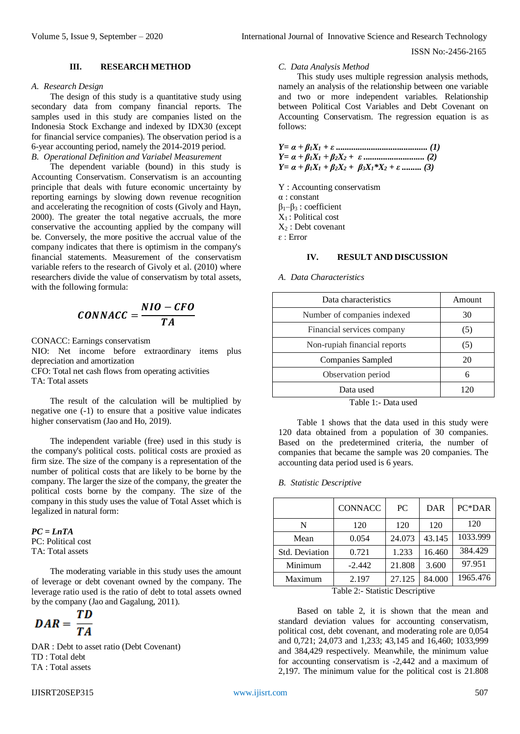#### **III. RESEARCH METHOD**

# *A. Research Design*

The design of this study is a quantitative study using secondary data from company financial reports. The samples used in this study are companies listed on the Indonesia Stock Exchange and indexed by IDX30 (except for financial service companies). The observation period is a 6-year accounting period, namely the 2014-2019 period. *B. Operational Definition and Variabel Measurement*

The dependent variable (bound) in this study is Accounting Conservatism. Conservatism is an accounting principle that deals with future economic uncertainty by reporting earnings by slowing down revenue recognition and accelerating the recognition of costs (Givoly and Hayn, 2000). The greater the total negative accruals, the more conservative the accounting applied by the company will be. Conversely, the more positive the accrual value of the company indicates that there is optimism in the company's financial statements. Measurement of the conservatism variable refers to the research of Givoly et al. (2010) where researchers divide the value of conservatism by total assets, with the following formula:

$$
CONNACC = \frac{NIO - CFO}{TA}
$$

CONACC: Earnings conservatism NIO: Net income before extraordinary items plus depreciation and amortization CFO: Total net cash flows from operating activities

TA: Total assets

The result of the calculation will be multiplied by negative one (-1) to ensure that a positive value indicates higher conservatism (Jao and Ho, 2019).

The independent variable (free) used in this study is the company's political costs. political costs are proxied as firm size. The size of the company is a representation of the number of political costs that are likely to be borne by the company. The larger the size of the company, the greater the political costs borne by the company. The size of the company in this study uses the value of Total Asset which is legalized in natural form:

*PC = LnTA* PC: Political cost TA: Total assets

The moderating variable in this study uses the amount of leverage or debt covenant owned by the company. The leverage ratio used is the ratio of debt to total assets owned by the company (Jao and Gagalung, 2011).

$$
DAR = \frac{TD}{TA}
$$

DAR : Debt to asset ratio (Debt Covenant) TD : Total debt TA : Total assets

## *C. Data Analysis Method*

This study uses multiple regression analysis methods, namely an analysis of the relationship between one variable and two or more independent variables. Relationship between Political Cost Variables and Debt Covenant on Accounting Conservatism. The regression equation is as follows:

*Y= α + β1X<sup>1</sup> + ε .......................................... (1) Y= α + β1X<sup>1</sup> + β2X<sup>2</sup> + ε ............................ (2)*  $Y = \alpha + \beta_1 X_1 + \beta_2 X_2 + \beta_3 X_1^* X_2 + \varepsilon$  ......... (3)

Y : Accounting conservatism α : constant β1–β<sup>3</sup> : coefficient  $X_1$ : Political cost  $X_2$ : Debt covenant  $\varepsilon$ : Error

## **IV. RESULT AND DISCUSSION**

*A. Data Characteristics*

| Amount  |
|---------|
| 30      |
| $\circ$ |
| (5)     |
| 20      |
|         |
|         |
|         |

Table 1:- Data used

Table 1 shows that the data used in this study were 120 data obtained from a population of 30 companies. Based on the predetermined criteria, the number of companies that became the sample was 20 companies. The accounting data period used is 6 years.

#### *B. Statistic Descriptive*

|                       | <b>CONNACC</b> | PC.    | DAR    | PC*DAR   |
|-----------------------|----------------|--------|--------|----------|
| N                     | 120            | 120    | 120    | 120      |
| Mean                  | 0.054          | 24.073 | 43.145 | 1033.999 |
| <b>Std. Deviation</b> | 0.721          | 1.233  | 16.460 | 384.429  |
| Minimum               | $-2.442$       | 21.808 | 3.600  | 97.951   |
| Maximum               | 2.197          | 27.125 | 84.000 | 1965.476 |

Table 2:- Statistic Descriptive

Based on table 2, it is shown that the mean and standard deviation values for accounting conservatism, political cost, debt covenant, and moderating role are 0,054 and 0,721; 24,073 and 1,233; 43,145 and 16,460; 1033,999 and 384,429 respectively. Meanwhile, the minimum value for accounting conservatism is -2,442 and a maximum of 2,197. The minimum value for the political cost is 21.808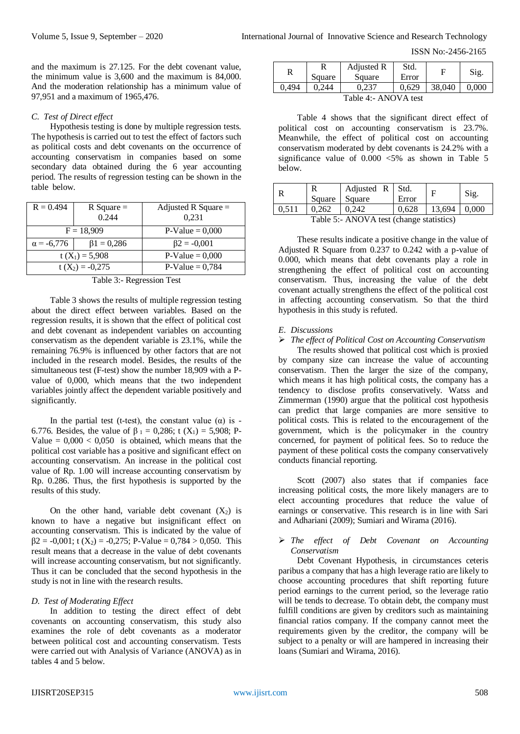and the maximum is 27.125. For the debt covenant value, the minimum value is 3,600 and the maximum is 84,000. And the moderation relationship has a minimum value of 97,951 and a maximum of 1965,476.

#### *C. Test of Direct effect*

Hypothesis testing is done by multiple regression tests. The hypothesis is carried out to test the effect of factors such as political costs and debt covenants on the occurrence of accounting conservatism in companies based on some secondary data obtained during the 6 year accounting period. The results of regression testing can be shown in the table below.

| $R = 0.494$       | $R$ Square $=$<br>0.244 | Adjusted R Square $=$<br>0.231 |
|-------------------|-------------------------|--------------------------------|
|                   | $F = 18,909$            | $P-Value = 0,000$              |
| $\alpha = -6,776$ | $\beta$ 1 = 0,286       | $\beta$ 2 = -0,001             |
| $t(X_1) = 5,908$  |                         | $P-Value = 0,000$              |
|                   | $t(X_2) = -0.275$       | $P-Value = 0,784$              |

Table 3:- Regression Test

Table 3 shows the results of multiple regression testing about the direct effect between variables. Based on the regression results, it is shown that the effect of political cost and debt covenant as independent variables on accounting conservatism as the dependent variable is 23.1%, while the remaining 76.9% is influenced by other factors that are not included in the research model. Besides, the results of the simultaneous test (F-test) show the number 18,909 with a Pvalue of 0,000, which means that the two independent variables jointly affect the dependent variable positively and significantly.

In the partial test (t-test), the constant value ( $\alpha$ ) is -6.776. Besides, the value of  $\beta_1 = 0.286$ ; t  $(X_1) = 5.908$ ; P-Value  $= 0,000 < 0,050$  is obtained, which means that the political cost variable has a positive and significant effect on accounting conservatism. An increase in the political cost value of Rp. 1.00 will increase accounting conservatism by Rp. 0.286. Thus, the first hypothesis is supported by the results of this study.

On the other hand, variable debt covenant  $(X_2)$  is known to have a negative but insignificant effect on accounting conservatism. This is indicated by the value of  $\beta$ 2 = -0,001; t (X<sub>2</sub>) = -0,275; P-Value = 0,784 > 0,050. This result means that a decrease in the value of debt covenants will increase accounting conservatism, but not significantly. Thus it can be concluded that the second hypothesis in the study is not in line with the research results.

## *D. Test of Moderating Effect*

In addition to testing the direct effect of debt covenants on accounting conservatism, this study also examines the role of debt covenants as a moderator between political cost and accounting conservatism. Tests were carried out with Analysis of Variance (ANOVA) as in tables 4 and 5 below.

| R     | Square | Adjusted R<br>Square | Std.<br>Error |        | Sig.  |
|-------|--------|----------------------|---------------|--------|-------|
| 0.494 | 244    |                      | 0.629         | 38,040 | ი იიი |

Table 4:- ANOVA test

Table 4 shows that the significant direct effect of political cost on accounting conservatism is 23.7%. Meanwhile, the effect of political cost on accounting conservatism moderated by debt covenants is 24.2% with a significance value of  $0.000 < 5\%$  as shown in Table 5 below.

| Е | Square | Adjusted $R$ Std.<br>Square | Error |        | Sig.  |
|---|--------|-----------------------------|-------|--------|-------|
|   | 0.262  | 0,242                       | 0.628 | 13.694 | 0.000 |

Table 5:- ANOVA test (change statistics)

These results indicate a positive change in the value of Adjusted R Square from 0.237 to 0.242 with a p-value of 0.000, which means that debt covenants play a role in strengthening the effect of political cost on accounting conservatism. Thus, increasing the value of the debt covenant actually strengthens the effect of the political cost in affecting accounting conservatism. So that the third hypothesis in this study is refuted.

#### *E. Discussions*

# *The effect of Political Cost on Accounting Conservatism*

The results showed that political cost which is proxied by company size can increase the value of accounting conservatism. Then the larger the size of the company, which means it has high political costs, the company has a tendency to disclose profits conservatively. Watss and Zimmerman (1990) argue that the political cost hypothesis can predict that large companies are more sensitive to political costs. This is related to the encouragement of the government, which is the policymaker in the country concerned, for payment of political fees. So to reduce the payment of these political costs the company conservatively conducts financial reporting.

Scott (2007) also states that if companies face increasing political costs, the more likely managers are to elect accounting procedures that reduce the value of earnings or conservative. This research is in line with Sari and Adhariani (2009); Sumiari and Wirama (2016).

## *The effect of Debt Covenant on Accounting Conservatism*

Debt Covenant Hypothesis, in circumstances ceteris paribus a company that has a high leverage ratio are likely to choose accounting procedures that shift reporting future period earnings to the current period, so the leverage ratio will be tends to decrease. To obtain debt, the company must fulfill conditions are given by creditors such as maintaining financial ratios company. If the company cannot meet the requirements given by the creditor, the company will be subject to a penalty or will are hampered in increasing their loans (Sumiari and Wirama, 2016).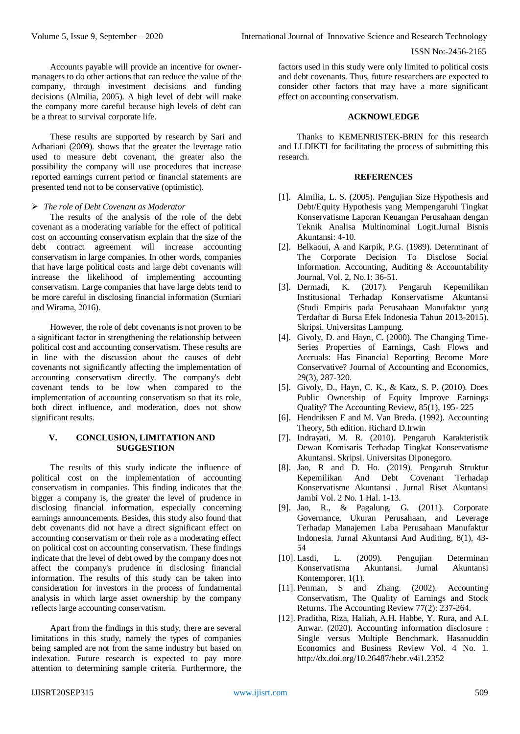Accounts payable will provide an incentive for ownermanagers to do other actions that can reduce the value of the company, through investment decisions and funding decisions (Almilia, 2005). A high level of debt will make the company more careful because high levels of debt can be a threat to survival corporate life.

These results are supported by research by Sari and Adhariani (2009). shows that the greater the leverage ratio used to measure debt covenant, the greater also the possibility the company will use procedures that increase reported earnings current period or financial statements are presented tend not to be conservative (optimistic).

## *The role of Debt Covenant as Moderator*

The results of the analysis of the role of the debt covenant as a moderating variable for the effect of political cost on accounting conservatism explain that the size of the debt contract agreement will increase accounting conservatism in large companies. In other words, companies that have large political costs and large debt covenants will increase the likelihood of implementing accounting conservatism. Large companies that have large debts tend to be more careful in disclosing financial information (Sumiari and Wirama, 2016).

However, the role of debt covenants is not proven to be a significant factor in strengthening the relationship between political cost and accounting conservatism. These results are in line with the discussion about the causes of debt covenants not significantly affecting the implementation of accounting conservatism directly. The company's debt covenant tends to be low when compared to the implementation of accounting conservatism so that its role, both direct influence, and moderation, does not show significant results.

# **V. CONCLUSION, LIMITATION AND SUGGESTION**

The results of this study indicate the influence of political cost on the implementation of accounting conservatism in companies. This finding indicates that the bigger a company is, the greater the level of prudence in disclosing financial information, especially concerning earnings announcements. Besides, this study also found that debt covenants did not have a direct significant effect on accounting conservatism or their role as a moderating effect on political cost on accounting conservatism. These findings indicate that the level of debt owed by the company does not affect the company's prudence in disclosing financial information. The results of this study can be taken into consideration for investors in the process of fundamental analysis in which large asset ownership by the company reflects large accounting conservatism.

Apart from the findings in this study, there are several limitations in this study, namely the types of companies being sampled are not from the same industry but based on indexation. Future research is expected to pay more attention to determining sample criteria. Furthermore, the

factors used in this study were only limited to political costs and debt covenants. Thus, future researchers are expected to consider other factors that may have a more significant effect on accounting conservatism.

#### **ACKNOWLEDGE**

Thanks to KEMENRISTEK-BRIN for this research and LLDIKTI for facilitating the process of submitting this research.

#### **REFERENCES**

- [1]. Almilia, L. S. (2005). Pengujian Size Hypothesis and Debt/Equity Hypothesis yang Mempengaruhi Tingkat Konservatisme Laporan Keuangan Perusahaan dengan Teknik Analisa Multinominal Logit.Jurnal Bisnis Akuntansi: 4-10.
- [2]. Belkaoui, A and Karpik, P.G. (1989). Determinant of The Corporate Decision To Disclose Social Information. Accounting, Auditing & Accountability Journal, Vol. 2, No.1: 36-51.
- [3]. Dermadi, K. (2017). Pengaruh Kepemilikan Institusional Terhadap Konservatisme Akuntansi (Studi Empiris pada Perusahaan Manufaktur yang Terdaftar di Bursa Efek Indonesia Tahun 2013-2015). Skripsi. Universitas Lampung.
- [4]. Givoly, D. and Hayn, C. (2000). The Changing Time-Series Properties of Earnings, Cash Flows and Accruals: Has Financial Reporting Become More Conservative? Journal of Accounting and Economics, 29(3), 287-320.
- [5]. Givoly, D., Hayn, C. K., & Katz, S. P. (2010). Does Public Ownership of Equity Improve Earnings Quality? The Accounting Review, 85(1), 195- 225
- [6]. Hendriksen E and M. Van Breda. (1992). Accounting Theory, 5th edition. Richard D.Irwin
- [7]. Indrayati, M. R. (2010). Pengaruh Karakteristik Dewan Komisaris Terhadap Tingkat Konservatisme Akuntansi. Skripsi. Universitas Diponegoro.
- [8]. Jao, R and D. Ho. (2019). Pengaruh Struktur Kepemilikan And Debt Covenant Terhadap Konservatisme Akuntansi . Jurnal Riset Akuntansi Jambi Vol. 2 No. 1 Hal. 1-13.
- [9]. Jao, R., & Pagalung, G. (2011). Corporate Governance, Ukuran Perusahaan, and Leverage Terhadap Manajemen Laba Perusahaan Manufaktur Indonesia. Jurnal Akuntansi And Auditing, 8(1), 43- 54
- [10]. Lasdi, L. (2009). Pengujian Determinan Konservatisma Akuntansi. Jurnal Akuntansi Kontemporer, 1(1).
- [11]. Penman, S and Zhang. (2002). Accounting Conservatism, The Quality of Earnings and Stock Returns. The Accounting Review 77(2): 237-264.
- [12]. Praditha, Riza, Haliah, A.H. Habbe, Y. Rura, and A.I. Anwar. (2020). Accounting information disclosure : Single versus Multiple Benchmark. Hasanuddin Economics and Business Review Vol. 4 No. 1. <http://dx.doi.org/10.26487/hebr.v4i1.2352>